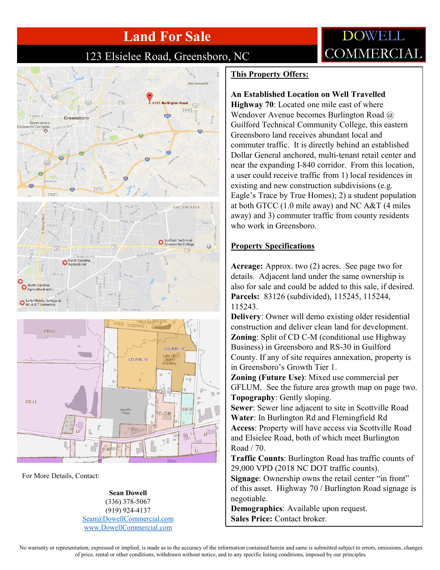# **Land For Sale**

### 123 Elsielee Road, Greensboro, NC

## Moles  $\widehat{CD}$  $\sqrt{3042}$  $rac{1}{1640}$ Greensboro  $3316$ GALLUM AREA **Guilford Technical Community College**  $\odot$  $\widetilde{C}$  $(70)$ orth Carolina Agricultural and Early/Middle College at  $CD-L$ **CD-RM**  $CD$ -RM-18 ω CD-LI Bryant's<br>Plaza CD-C-N C-H v II

For More Details, Contact:

**Sean Dowell** (336) 378-5067 (919) 924-4137 [Sean@DowellCommercial.com](mailto:Sean@DowellCommercial.com) [www.DowellCommercial.com](http://www.dowellcommercial.com/)

#### **This Property Offers:**

#### **An Established Location on Well Travelled**

**Highway 70**: Located one mile east of where Wendover Avenue becomes Burlington Road @ Guilford Technical Community College, this eastern Greensboro land receives abundant local and commuter traffic. It is directly behind an established Dollar General anchored, multi-tenant retail center and near the expanding I-840 corridor. From this location, a user could receive traffic from 1) local residences in existing and new construction subdivisions (e.g. Eagle's Trace by True Homes); 2) a student population at both GTCC (1.0 mile away) and NC A&T (4 miles away) and 3) commuter traffic from county residents who work in Greensboro.

**DOWELL** 

COMMERCIAL

#### **Property Specifications**

**Acreage:** Approx. two (2) acres. See page two for details. Adjacent land under the same ownership is also for sale and could be added to this sale, if desired. **Parcels:** 83126 (subdivided), 115245, 115244, 115243.

**Delivery**: Owner will demo existing older residential construction and deliver clean land for development. **Zoning:** Split of CD C-M (conditional use Highway Business) in Greensboro and RS-30 in Guilford County. If any of site requires annexation, property is in Greensboro's Growth Tier 1.

**Zoning (Future Use)**: Mixed use commercial per GFLUM. See the future area growth map on page two. **Topography**: Gently sloping.

**Sewer**: Sewer line adjacent to site in Scottville Road **Water**: In Burlington Rd and Flemingfield Rd **Access**: Property will have access via Scottville Road and Elsielee Road, both of which meet Burlington Road / 70.

**Traffic Counts**: Burlington Road has traffic counts of 29,000 VPD (2018 NC DOT traffic counts).

**Signage**: Ownership owns the retail center "in front" of this asset. Highway 70 / Burlington Road signage is negotiable.

**Demographics**: Available upon request. **Sales Price:** Contact broker.